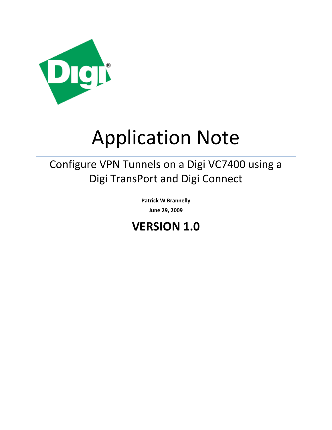

# Application Note

## Configure VPN Tunnels on a Digi VC7400 using a Digi TransPort and Digi Connect

**Patrick W Brannelly June 29, 2009**

## **VERSION 1.0**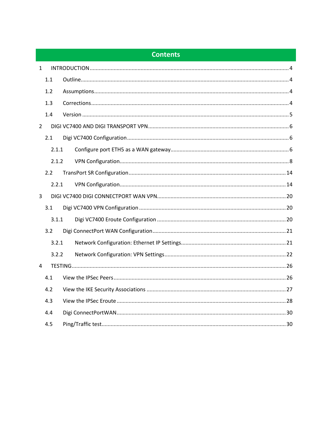## **Contents**

| $\mathbf{1}$   |       |  |
|----------------|-------|--|
|                | 1.1   |  |
|                | 1.2   |  |
|                | 1.3   |  |
|                | 1.4   |  |
| $\overline{2}$ |       |  |
|                | 2.1   |  |
|                | 2.1.1 |  |
|                | 2.1.2 |  |
|                | 2.2   |  |
|                | 2.2.1 |  |
| $\overline{3}$ |       |  |
|                | 3.1   |  |
|                | 3.1.1 |  |
|                | 3.2   |  |
|                | 3.2.1 |  |
|                | 3.2.2 |  |
| 4              |       |  |
|                | 4.1   |  |
|                | 4.2   |  |
|                | 4.3   |  |
|                | 4.4   |  |
|                | 4.5   |  |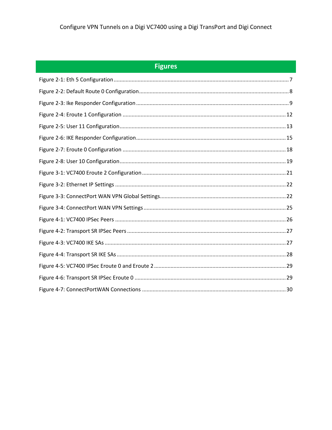| Figure |  |
|--------|--|
|        |  |
|        |  |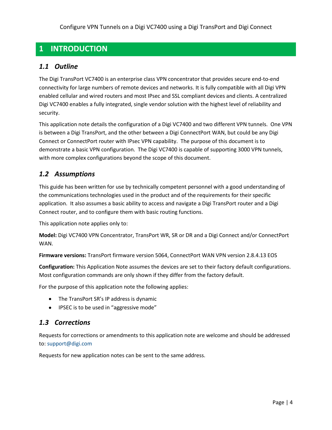## <span id="page-3-0"></span>**1 INTRODUCTION**

## <span id="page-3-1"></span>*1.1 Outline*

The Digi TransPort VC7400 is an enterprise class VPN concentrator that provides secure end-to-end connectivity for large numbers of remote devices and networks. It is fully compatible with all Digi VPN enabled cellular and wired routers and most IPsec and SSL compliant devices and clients. A centralized Digi VC7400 enables a fully integrated, single vendor solution with the highest level of reliability and security.

This application note details the configuration of a Digi VC7400 and two different VPN tunnels. One VPN is between a Digi TransPort, and the other between a Digi ConnectPort WAN, but could be any Digi Connect or ConnectPort router with IPsec VPN capability. The purpose of this document is to demonstrate a basic VPN configuration. The Digi VC7400 is capable of supporting 3000 VPN tunnels, with more complex configurations beyond the scope of this document.

## <span id="page-3-2"></span>*1.2 Assumptions*

This guide has been written for use by technically competent personnel with a good understanding of the communications technologies used in the product and of the requirements for their specific application. It also assumes a basic ability to access and navigate a Digi TransPort router and a Digi Connect router, and to configure them with basic routing functions.

This application note applies only to:

**Model:** Digi VC7400 VPN Concentrator, TransPort WR, SR or DR and a Digi Connect and/or ConnectPort WAN.

**Firmware versions:** TransPort firmware version 5064, ConnectPort WAN VPN version 2.8.4.13 EOS

**Configuration:** This Application Note assumes the devices are set to their factory default configurations. Most configuration commands are only shown if they differ from the factory default.

For the purpose of this application note the following applies:

- The TransPort SR's IP address is dynamic
- IPSEC is to be used in "aggressive mode"

## <span id="page-3-3"></span>*1.3 Corrections*

Requests for corrections or amendments to this application note are welcome and should be addressed to: support@digi.com

Requests for new application notes can be sent to the same address.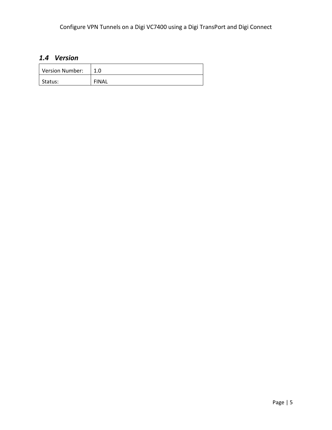## <span id="page-4-0"></span>*1.4 Version*

| Version Number: |              |
|-----------------|--------------|
| Status:         | <b>FINAL</b> |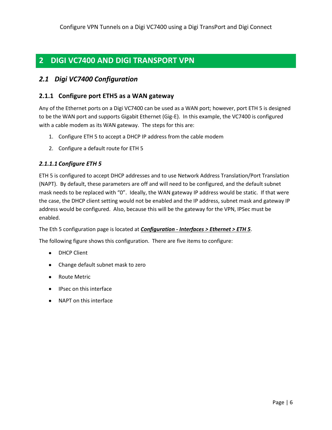## <span id="page-5-0"></span>**2 DIGI VC7400 AND DIGI TRANSPORT VPN**

## <span id="page-5-1"></span>*2.1 Digi VC7400 Configuration*

### <span id="page-5-2"></span>**2.1.1 Configure port ETH5 as a WAN gateway**

Any of the Ethernet ports on a Digi VC7400 can be used as a WAN port; however, port ETH 5 is designed to be the WAN port and supports Gigabit Ethernet (Gig-E). In this example, the VC7400 is configured with a cable modem as its WAN gateway. The steps for this are:

- 1. Configure ETH 5 to accept a DHCP IP address from the cable modem
- 2. Configure a default route for ETH 5

#### *2.1.1.1 Configure ETH 5*

ETH 5 is configured to accept DHCP addresses and to use Network Address Translation/Port Translation (NAPT). By default, these parameters are off and will need to be configured, and the default subnet mask needs to be replaced with "0". Ideally, the WAN gateway IP address would be static. If that were the case, the DHCP client setting would not be enabled and the IP address, subnet mask and gateway IP address would be configured. Also, because this will be the gateway for the VPN, IPSec must be enabled.

The Eth 5 configuration page is located at *Configuration - Interfaces > Ethernet > ETH 5*.

The following figure shows this configuration. There are five items to configure:

- DHCP Client
- Change default subnet mask to zero
- Route Metric
- IPsec on this interface
- NAPT on this interface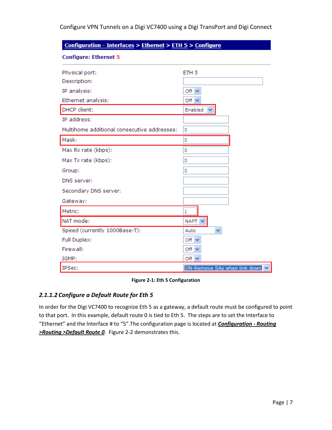| Configuration - Interfaces > Ethernet > ETH 5 > Configure |                              |  |
|-----------------------------------------------------------|------------------------------|--|
| <b>Configure: Ethernet 5</b>                              |                              |  |
| Physical port:                                            | ETH <sub>5</sub>             |  |
| Description:                                              |                              |  |
| IP analysis:                                              | Off $\vee$                   |  |
| Ethernet analysis:                                        | Off $\vee$                   |  |
| DHCP client:                                              | Enabled<br>v                 |  |
| IP address:                                               |                              |  |
| Multihome additional consecutive addresses:               | 0                            |  |
| Mask:                                                     | 0                            |  |
| Max Rx rate (kbps):                                       | 0                            |  |
| Max Tx rate (kbps):                                       | 0                            |  |
| Group:                                                    | 0                            |  |
| DNS server:                                               |                              |  |
| Secondary DNS server:                                     |                              |  |
| Gateway:                                                  |                              |  |
| Metric:                                                   | 1                            |  |
| NAT mode:                                                 | NAPT V                       |  |
| Speed (currently 1000Base-T):                             | Auto<br>v                    |  |
| Full Duplex:                                              | Off $\vee$                   |  |
| Firewall:                                                 | Off $\vee$                   |  |
| IGMP:                                                     | Off $\vee$                   |  |
| <b>IPSec:</b>                                             | ON-Remove SAs when link down |  |

**Figure 2-1: Eth 5 Configuration**

#### <span id="page-6-0"></span>*2.1.1.2 Configure a Default Route for Eth 5*

In order for the Digi VC7400 to recognize Eth 5 as a gateway, a default route must be configured to point to that port. In this example, default route 0 is tied to Eth 5. The steps are to set the Interface to "Ethernet" and the Interface # to "5".The configuration page is located at *Configuration - Routing >Routing >Default Route 0*. Figure 2-2 demonstrates this.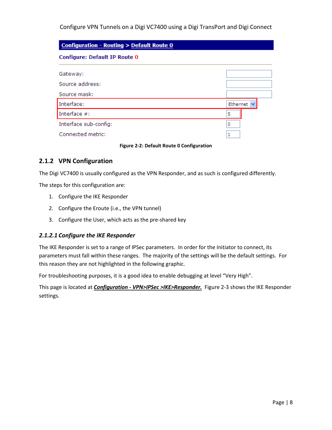| <b>Configuration - Routing &gt; Default Route 0</b> |                 |  |
|-----------------------------------------------------|-----------------|--|
| Configure: Default IP Route 0                       |                 |  |
| Gateway:                                            |                 |  |
| Source address:                                     |                 |  |
| Source mask:                                        |                 |  |
| Interface:                                          | Ethernet $\vee$ |  |
| Interface $#$ :                                     | 5               |  |
| Interface sub-config:                               |                 |  |
| Connected metric:                                   |                 |  |

**Figure 2-2: Default Route 0 Configuration**

## <span id="page-7-1"></span><span id="page-7-0"></span>**2.1.2 VPN Configuration**

The Digi VC7400 is usually configured as the VPN Responder, and as such is configured differently.

The steps for this configuration are:

- 1. Configure the IKE Responder
- 2. Configure the Eroute (i.e., the VPN tunnel)
- 3. Configure the User, which acts as the pre-shared key

#### *2.1.2.1 Configure the IKE Responder*

The IKE Responder is set to a range of IPSec parameters. In order for the Initiator to connect, its parameters must fall within these ranges. The majority of the settings will be the default settings. For this reason they are not highlighted in the following graphic.

For troubleshooting purposes, it is a good idea to enable debugging at level "Very High".

This page is located at *Configuration - VPN>IPSec >IKE>Responder.* Figure 2-3 shows the IKE Responder settings.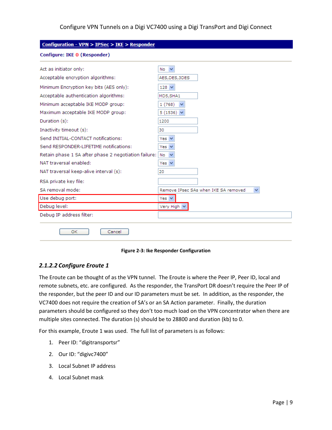| Configuration - VPN > IPSec > IKE > Responder        |                                           |  |  |
|------------------------------------------------------|-------------------------------------------|--|--|
| <b>Configure: IKE 0 (Responder)</b>                  |                                           |  |  |
| Act as initiator only:                               | No<br>$\checkmark$                        |  |  |
| Acceptable encryption algorithms:                    | AES, DES, 3DES                            |  |  |
| Minimum Encryption key bits (AES only):              | $128 \vee$                                |  |  |
| Acceptable authentication algorithms:                | MD5,SHA1                                  |  |  |
| Minimum acceptable IKE MODP group:                   | 1(768)<br>v                               |  |  |
| Maximum acceptable IKE MODP group:                   | 5 $(1536)$ $\vee$                         |  |  |
| Duration (s):                                        | 1200                                      |  |  |
| Inactivity timeout (s):                              | 30                                        |  |  |
| Send INITIAL-CONTACT notifications:                  | Yes $\vee$                                |  |  |
| Send RESPONDER-LIFETIME notifications:               | Yes $\vee$                                |  |  |
| Retain phase 1 SA after phase 2 negotiation failure: | No                                        |  |  |
| NAT traversal enabled:                               | Yes $\vee$                                |  |  |
| NAT traversal keep-alive interval (s):               | 20                                        |  |  |
| RSA private key file:                                |                                           |  |  |
| SA removal mode:                                     | Remove IPsec SAs when IKE SA removed<br>v |  |  |
| Use debug port:                                      | Yes $ v $                                 |  |  |
| Debug level:                                         | Very High V                               |  |  |
| Debug IP address filter:                             |                                           |  |  |
| <b>OK</b><br>Cancel                                  |                                           |  |  |

**Figure 2-3: Ike Responder Configuration**

#### <span id="page-8-0"></span>*2.1.2.2 Configure Eroute 1*

The Eroute can be thought of as the VPN tunnel. The Eroute is where the Peer IP, Peer ID, local and remote subnets, etc. are configured. As the responder, the TransPort DR doesn't require the Peer IP of the responder, but the peer ID and our ID parameters must be set. In addition, as the responder, the VC7400 does not require the creation of SA's or an SA Action parameter. Finally, the duration parameters should be configured so they don't too much load on the VPN concentrator when there are multiple sites connected. The duration (s) should be to 28800 and duration (kb) to 0.

For this example, Eroute 1 was used. The full list of parameters is as follows:

- 1. Peer ID: "digitransportsr"
- 2. Our ID: "digivc7400"
- 3. Local Subnet IP address
- 4. Local Subnet mask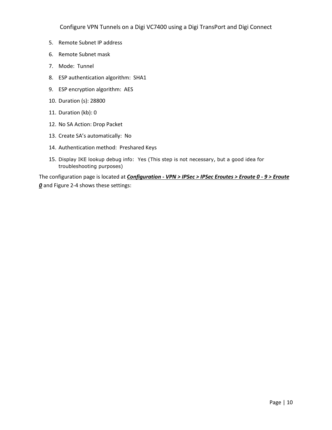- 5. Remote Subnet IP address
- 6. Remote Subnet mask
- 7. Mode: Tunnel
- 8. ESP authentication algorithm: SHA1
- 9. ESP encryption algorithm: AES
- 10. Duration (s): 28800
- 11. Duration (kb): 0
- 12. No SA Action: Drop Packet
- 13. Create SA's automatically: No
- 14. Authentication method: Preshared Keys
- 15. Display IKE lookup debug info: Yes (This step is not necessary, but a good idea for troubleshooting purposes)

The configuration page is located at *Configuration - VPN > IPSec > IPSec Eroutes > Eroute 0 - 9 > Eroute 0* and Figure 2-4 shows these settings: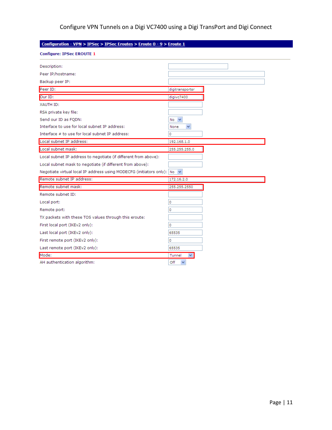## <u>Configuration - VPN > IPSec</u> > <u>IPSec Eroutes</u> > <u>Eroute 0 - 9</u> > <u>Eroute 1</u>

| <b>Configure: IPSec EROUTE 1</b>                                                            |                        |
|---------------------------------------------------------------------------------------------|------------------------|
| Description:                                                                                |                        |
| Peer IP/hostname:                                                                           |                        |
| Backup peer IP:                                                                             |                        |
| Peer ID:                                                                                    | digitransportsr        |
| Our ID:                                                                                     | digivc7400             |
| <b>XAUTH ID:</b>                                                                            |                        |
| RSA private key file:                                                                       |                        |
| Send our ID as FQDN:                                                                        | $No \nightharpoonup$   |
| Interface to use for local subnet IP address:                                               | $\checkmark$<br>None   |
| Interface # to use for local subnet IP address:                                             | 0                      |
| Local subnet IP address:                                                                    | 192.168.1.0            |
| Local subnet mask:                                                                          | 255.255.255.0          |
| Local subnet IP address to negotiate (if different from above):                             |                        |
| Local subnet mask to negotiate (if different from above):                                   |                        |
| Negotiate virtual local IP address using MODECFG (initiators only): $\vert$ No $\vert \vee$ |                        |
| Remote subnet IP address:                                                                   | 172.16.2.0             |
| Remote subnet mask:                                                                         | 255.255.2550           |
| Remote subnet ID:                                                                           |                        |
| Local port:                                                                                 | 0                      |
| Remote port:                                                                                | 0                      |
| TX packets with these TOS values through this eroute:                                       |                        |
| First local port (IKEv2 only):                                                              | 0                      |
| Last local port (IKEv2 only):                                                               | 65535                  |
| First remote port (IKEv2 only):                                                             | 0                      |
| Last remote port (IKEv2 only):                                                              | 65535                  |
| Mode:                                                                                       | Tunnel<br>$\checkmark$ |
| AH authentication algorithm:                                                                | Off                    |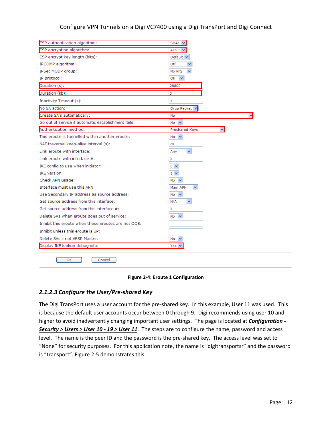| ESP authentication algorithm:                       | $SHA1 \vee$         |
|-----------------------------------------------------|---------------------|
| ESP encryption algorithm:                           | <b>AES</b>          |
| ESP encrypt key length (bits):                      | Default $\vee$      |
| IPCOMP algorithm:                                   | Off                 |
| IPSec MODP group:                                   | No PFS              |
| IP protocol:                                        | Off<br>$\checkmark$ |
| Duration (s):                                       | 28800               |
| Duration (kb):                                      | 0                   |
| Inactivity Timeout (s):                             | o                   |
| No SA action:                                       | Drop Packet V       |
| Create SA's automatically:                          | No                  |
| Go out of service if automatic establishment fails: | $\checkmark$<br>No  |
| Authentication method:                              | Preshared Keys      |
| This eroute is tunnelled within another eroute:     | No.<br>$\checkmark$ |
| NAT traversal keep-alive interval (s):              | 20                  |
| Link eroute with interface:                         | ×<br>Any            |
| Link eroute with interface $#$ :                    | 0                   |
| IKE config to use when initiator:                   | $\sim$              |
| <b>IKE</b> version:                                 | $1 \vee$            |
| Check APN usage:                                    | No                  |
| Interface must use this APN:                        | Main APN            |
| Use Secondary IP address as source address:         | No<br>$\checkmark$  |
| Get source address from this interface:             | N/A                 |
| Get source address from this interface #:           | 0                   |
| Delete SAs when eroute goes out of service:         | No.                 |
| Inhibit this eroute when these eroutes are not OOS: |                     |
| Inhibit unless this eroute is UP:                   |                     |
| Delete SAs if not VRRP Master:                      | No<br>×             |
| Display IKE lookup debug info:                      | Yes                 |
| ОΚ<br>Cancel                                        |                     |

#### **Figure 2-4: Eroute 1 Configuration**

#### <span id="page-11-0"></span>*2.1.2.3 Configure the User/Pre-shared Key*

The Digi TransPort uses a user account for the pre-shared key. In this example, User 11 was used. This is because the default user accounts occur between 0 through 9. Digi recommends using user 10 and higher to avoid inadvertently changing important user settings. The page is located at *Configuration - Security > Users > User 10 - 19 > User 11*. The steps are to configure the name, password and access level. The name is the peer ID and the password is the pre-shared key. The access level was set to "None" for security purposes. For this application note, the name is "digitransportsr" and the password is "transport". Figure 2-5 demonstrates this: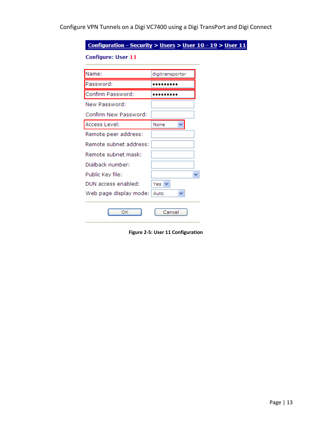Configuration - Security > Users > User 10 - 19 > User 11 **Configure: User 11** Name: digitransportsr Password: ......... Confirm Password: ......... New Password: Confirm New Password: Access Level:  $\checkmark$ None Remote peer address: Remote subnet address: Remote subnet mask: Dialback number: Public Key file:  $\checkmark$ DUN access enabled: Yes  $\vee$ Web page display mode: Auto × OK Cancel

<span id="page-12-0"></span>**Figure 2-5: User 11 Configuration**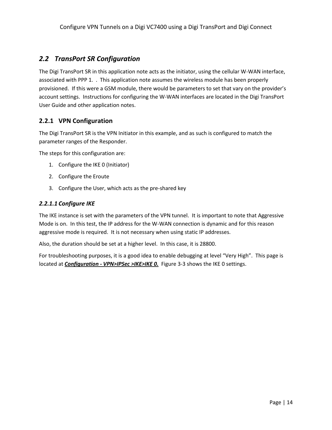## <span id="page-13-0"></span>*2.2 TransPort SR Configuration*

The Digi TransPort SR in this application note acts as the initiator, using the cellular W-WAN interface, associated with PPP 1. . This application note assumes the wireless module has been properly provisioned. If this were a GSM module, there would be parameters to set that vary on the provider's account settings. Instructions for configuring the W-WAN interfaces are located in the Digi TransPort User Guide and other application notes.

## <span id="page-13-1"></span>**2.2.1 VPN Configuration**

The Digi TransPort SR is the VPN Initiator in this example, and as such is configured to match the parameter ranges of the Responder.

The steps for this configuration are:

- 1. Configure the IKE 0 (Initiator)
- 2. Configure the Eroute
- 3. Configure the User, which acts as the pre-shared key

#### *2.2.1.1 Configure IKE*

The IKE instance is set with the parameters of the VPN tunnel. It is important to note that Aggressive Mode is on. In this test, the IP address for the W-WAN connection is dynamic and for this reason aggressive mode is required. It is not necessary when using static IP addresses.

Also, the duration should be set at a higher level. In this case, it is 28800.

For troubleshooting purposes, it is a good idea to enable debugging at level "Very High". This page is located at *Configuration - VPN>IPSec >IKE>IKE 0.* Figure 3-3 shows the IKE 0 settings.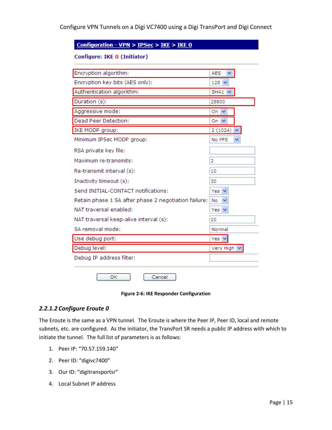#### Configuration - VPN > IPSec > IKE > IKE 0

#### Configure: IKE 0 (Initiator)

| Encryption algorithm:                                | AES                 |  |
|------------------------------------------------------|---------------------|--|
| Encryption key bits (AES only):                      | $128 \vee$          |  |
| Authentication algorithm:                            | SHA1                |  |
| Duration (s):                                        | 28800               |  |
| Aggressive mode:                                     | On.<br>$\checkmark$ |  |
| Dead Peer Detection:                                 | On $\vee$           |  |
| IKE MODP group:                                      | 2(1024)<br>×        |  |
| Minimum IPSec MODP group:                            | No PFS              |  |
| RSA private key file:                                |                     |  |
| Maximum re-transmits:                                | 2                   |  |
| Re-transmit interval (s):                            | 10                  |  |
| Inactivity timeout (s):                              | 30                  |  |
| Send INITIAL-CONTACT notifications:                  | Yes                 |  |
| Retain phase 1 SA after phase 2 negotiation failure: | No                  |  |
| NAT traversal enabled:                               | Yes $\vee$          |  |
| NAT traversal keep-alive interval (s):               | 20                  |  |
| SA removal mode:                                     | Normal              |  |
| Use debug port:                                      | Yes N               |  |
| Debug level:                                         | Very High V         |  |
| Debug IP address filter:                             |                     |  |
|                                                      |                     |  |
| Cancel<br>ОΚ                                         |                     |  |

#### **Figure 2-6: IKE Responder Configuration**

#### <span id="page-14-0"></span>*2.2.1.2 Configure Eroute 0*

The Eroute is the same as a VPN tunnel. The Eroute is where the Peer IP, Peer ID, local and remote subnets, etc. are configured. As the initiator, the TransPort SR needs a public IP address with which to initiate the tunnel. The full list of parameters is as follows:

- 1. Peer IP: "70.57.159.140"
- 2. Peer ID: "digivc7400"
- 3. Our ID: "digitransportsr"
- 4. Local Subnet IP address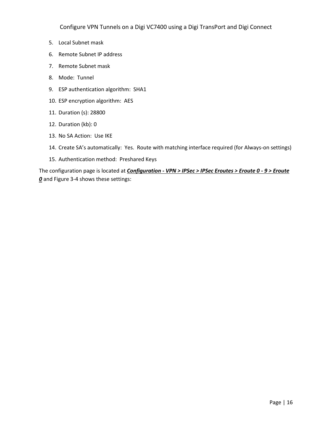- 5. Local Subnet mask
- 6. Remote Subnet IP address
- 7. Remote Subnet mask
- 8. Mode: Tunnel
- 9. ESP authentication algorithm: SHA1
- 10. ESP encryption algorithm: AES
- 11. Duration (s): 28800
- 12. Duration (kb): 0
- 13. No SA Action: Use IKE
- 14. Create SA's automatically: Yes. Route with matching interface required (for Always-on settings)
- 15. Authentication method: Preshared Keys

The configuration page is located at *Configuration - VPN > IPSec > IPSec Eroutes > Eroute 0 - 9 > Eroute 0* and Figure 3-4 shows these settings: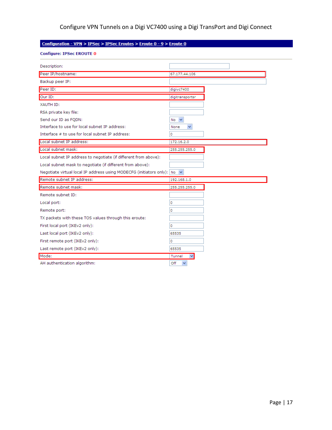## Configuration - VPN > IPSec > IPSec Eroutes > Eroute 0 - 9 > Eroute 0

|  | <b>Configure: IPSec EROUTE 0</b> |  |  |  |
|--|----------------------------------|--|--|--|
|--|----------------------------------|--|--|--|

| Description:                                                                            |                  |
|-----------------------------------------------------------------------------------------|------------------|
| Peer IP/hostname:                                                                       | 67.177.44.106    |
| Backup peer IP:                                                                         |                  |
| Peer ID:                                                                                | digivc7400       |
| Our ID:                                                                                 | digitransportsr  |
| XAUTH ID:                                                                               |                  |
| RSA private key file:                                                                   |                  |
| Send our ID as FQDN:                                                                    | $No \vee$        |
| Interface to use for local subnet IP address:                                           | None<br>×        |
| Interface # to use for local subnet IP address:                                         | 0                |
| Local subnet IP address:                                                                | 172.16.2.0       |
| Local subnet mask:                                                                      | 255,255,255.0    |
| Local subnet IP address to negotiate (if different from above):                         |                  |
| Local subnet mask to negotiate (if different from above):                               |                  |
| Negotiate virtual local IP address using MODECFG (initiators only): $\log  \mathbf{v} $ |                  |
| Remote subnet IP address:                                                               | 192.168.1.0      |
| Remote subnet mask:                                                                     | 255.255.255.0    |
| Remote subnet ID:                                                                       |                  |
| Local port:                                                                             | 0                |
| Remote port:                                                                            | 0                |
| TX packets with these TOS values through this eroute:                                   |                  |
| First local port (IKEv2 only):                                                          | 0                |
| Last local port (IKEv2 only):                                                           | 65535            |
| First remote port (IKEv2 only):                                                         | 0                |
|                                                                                         | 65535            |
| Last remote port (IKEv2 only):                                                          |                  |
| Mode:                                                                                   | Tunnel<br>$\vee$ |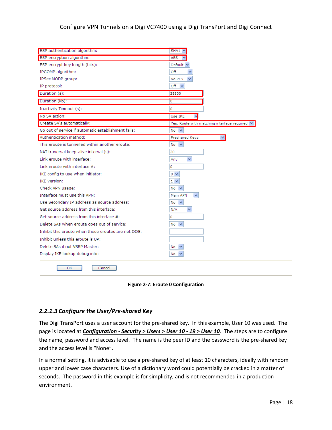| ESP authentication algorithm:                       | $SHA1 \vee$                                        |
|-----------------------------------------------------|----------------------------------------------------|
| ESP encryption algorithm:                           | <b>AES</b>                                         |
| ESP encrypt key length (bits):                      | Default $\vee$                                     |
| IPCOMP algorithm:                                   | Off                                                |
| IPSec MODP group:                                   | No PFS                                             |
| IP protocol:                                        | Off<br>$\checkmark$                                |
| Duration (s):                                       | 28800                                              |
| Duration (kb):                                      | 0                                                  |
| Inactivity Timeout (s):                             | 0                                                  |
| No SA action:                                       | Use IKE                                            |
| Create SA's automatically:                          | Yes. Route with matching interface required $\vee$ |
| Go out of service if automatic establishment fails: | $\checkmark$<br>No                                 |
| Authentication method:                              | Preshared Keys<br>×                                |
| This eroute is tunnelled within another eroute:     | No<br>$\checkmark$                                 |
| NAT traversal keep-alive interval (s):              | 20                                                 |
| Link eroute with interface:                         | ×<br>Any                                           |
| Link eroute with interface $#$ :                    | 0                                                  |
| IKE config to use when initiator:                   | $0 \vee$                                           |
| <b>IKE</b> version:                                 | $1 - $                                             |
| Check APN usage:                                    | No<br>$\checkmark$                                 |
| Interface must use this APN:                        | Main APN                                           |
| Use Secondary IP address as source address:         | $\checkmark$<br>No                                 |
| Get source address from this interface:             | N/A<br>٧                                           |
| Get source address from this interface $#$ :        | 0                                                  |
| Delete SAs when eroute goes out of service:         | No<br>$\checkmark$                                 |
| Inhibit this eroute when these eroutes are not OOS: |                                                    |
| Inhibit unless this eroute is UP:                   |                                                    |
| Delete SAs if not VRRP Master:                      | No.<br>$\checkmark$                                |
| Display IKE lookup debug info:                      | No.                                                |
| ОΚ<br>Cancel                                        |                                                    |

**Figure 2-7: Eroute 0 Configuration**

#### <span id="page-17-0"></span>*2.2.1.3 Configure the User/Pre-shared Key*

The Digi TransPort uses a user account for the pre-shared key. In this example, User 10 was used. The page is located at *Configuration - Security > Users > User 10 - 19 > User 10*. The steps are to configure the name, password and access level. The name is the peer ID and the password is the pre-shared key and the access level is "None".

In a normal setting, it is advisable to use a pre-shared key of at least 10 characters, ideally with random upper and lower case characters. Use of a dictionary word could potentially be cracked in a matter of seconds. The password in this example is for simplicity, and is not recommended in a production environment.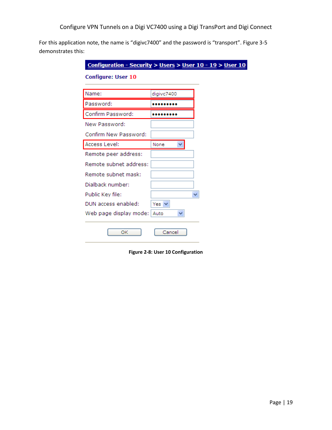For this application note, the name is "digivc7400" and the password is "transport". Figure 3-5 demonstrates this:

| Name:                  | digivc7400 |
|------------------------|------------|
| Password:              |            |
| Confirm Password:      |            |
| New Password:          |            |
| Confirm New Password:  |            |
| Access Level:          | None       |
| Remote peer address:   |            |
| Remote subnet address: |            |
| Remote subnet mask:    |            |
| Dialback number:       |            |
| Public Key file:       |            |
| DUN access enabled:    | Yes $\vee$ |
| Web page display mode: | Auto<br>٧  |

<span id="page-18-0"></span>**Figure 2-8: User 10 Configuration**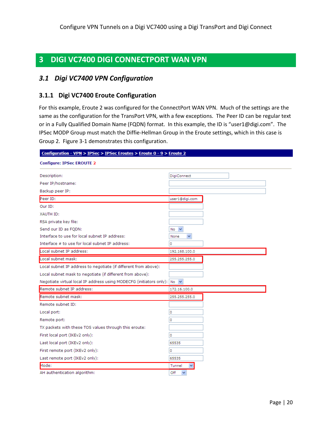## <span id="page-19-0"></span>**3 DIGI VC7400 DIGI CONNECTPORT WAN VPN**

## <span id="page-19-1"></span>*3.1 Digi VC7400 VPN Configuration*

## <span id="page-19-2"></span>**3.1.1 Digi VC7400 Eroute Configuration**

For this example, Eroute 2 was configured for the ConnectPort WAN VPN. Much of the settings are the same as the configuration for the TransPort VPN, with a few exceptions. The Peer ID can be regular text or in a Fully Qualified Domain Name (FQDN) format. In this example, the ID is "user1@digi.com". The IPSec MODP Group must match the Diffie-Hellman Group in the Eroute settings, which in this case is Group 2. Figure 3-1 demonstrates this configuration.

| Configuration - VPN > IPSec > IPSec Eroutes > Eroute 0 - 9 > Eroute 2         |                      |
|-------------------------------------------------------------------------------|----------------------|
| <b>Configure: IPSec EROUTE 2</b>                                              |                      |
| Description:                                                                  | <b>DigiConnect</b>   |
| Peer IP/hostname:                                                             |                      |
| Backup peer IP:                                                               |                      |
| Peer ID:                                                                      | user1@digi.com       |
| Our ID:                                                                       |                      |
| XAUTH ID:                                                                     |                      |
| RSA private key file:                                                         |                      |
| Send our ID as FQDN:                                                          | $No \nightharpoonup$ |
| Interface to use for local subnet IP address:                                 | $\checkmark$<br>None |
| Interface # to use for local subnet IP address:                               | 0                    |
| Local subnet IP address:                                                      | 192.168.100.0        |
| Local subnet mask:                                                            | 255.255.255.0        |
| Local subnet IP address to negotiate (if different from above):               |                      |
| Local subnet mask to negotiate (if different from above):                     |                      |
| Negotiate virtual local IP address using MODECFG (initiators only): No $\vee$ |                      |
| Remote subnet IP address:                                                     | 172.16.100.0         |
| Remote subnet mask:                                                           | 255.255.255.0        |
| Remote subnet ID:                                                             |                      |
| Local port:                                                                   | 0                    |
| Remote port:                                                                  | 0                    |
| TX packets with these TOS values through this eroute:                         |                      |
| First local port (IKEv2 only):                                                | 0                    |
| Last local port (IKEv2 only):                                                 | 65535                |
| First remote port (IKEv2 only):                                               | o                    |
| Last remote port (IKEv2 only):                                                | 65535                |
| Mode:                                                                         | Tunnel               |
| AH authentication algorithm:                                                  | Off<br>$\checkmark$  |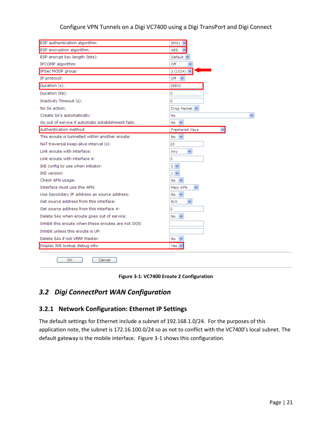| ESP authentication algorithm:                       | SHA1 V                   |
|-----------------------------------------------------|--------------------------|
| ESP encryption algorithm:                           | AES                      |
| ESP encrypt key length (bits):                      | Default $\vee$           |
| IPCOMP algorithm:                                   | Off<br>$\checkmark$      |
| IPSec MODP group:                                   | $2(1024)$ $\vee$         |
| IP protocol:                                        | Off<br>$\checkmark$      |
| Duration (s):                                       | 28800                    |
| Duration (kb):                                      | 0                        |
| Inactivity Timeout (s):                             | o                        |
| No SA action:                                       | Drop Packet V            |
| Create SA's automatically:                          | No                       |
| Go out of service if automatic establishment fails: | $\checkmark$<br>No       |
| Authentication method:                              | Preshared Keys           |
| This eroute is tunnelled within another eroute:     | No<br>$\checkmark$       |
| NAT traversal keep-alive interval (s):              | 20                       |
| Link eroute with interface:                         | v<br>Any                 |
| Link eroute with interface $#$ :                    | 0                        |
| IKE config to use when initiator:                   | $0 \vee$                 |
| <b>IKE</b> version:                                 | $1 \vee$                 |
| Check APN usage:                                    | No                       |
| Interface must use this APN:                        | Main APN<br>$\checkmark$ |
| Use Secondary IP address as source address:         | No<br>$\checkmark$       |
| Get source address from this interface:             | v<br>N/A                 |
| Get source address from this interface $#$ :        | 0                        |
| Delete SAs when eroute goes out of service:         | $\checkmark$<br>No       |
| Inhibit this eroute when these eroutes are not OOS: |                          |
| Inhibit unless this eroute is UP:                   |                          |
| Delete SAs if not VRRP Master:                      | No                       |
| Display IKE lookup debug info:                      | Yes \                    |

#### **Figure 3-1: VC7400 Eroute 2 Configuration**

## <span id="page-20-2"></span><span id="page-20-0"></span>*3.2 Digi ConnectPort WAN Configuration*

## <span id="page-20-1"></span>**3.2.1 Network Configuration: Ethernet IP Settings**

The default settings for Ethernet include a subnet of 192.168.1.0/24. For the purposes of this application note, the subnet is 172.16.100.0/24 so as not to conflict with the VC7400's local subnet. The default gateway is the mobile interface. Figure 3-1 shows this configuration.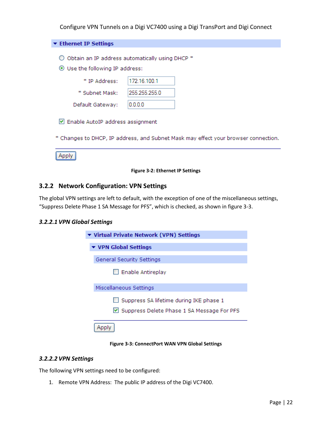| ▼ Ethernet IP Settings           |                                                                                    |
|----------------------------------|------------------------------------------------------------------------------------|
|                                  |                                                                                    |
|                                  | Obtain an IP address automatically using DHCP *                                    |
| ⊙ Use the following IP address:  |                                                                                    |
| * IP Address:                    | 172.16.100.1                                                                       |
| * Subnet Mask:                   | 255.255.255.0                                                                      |
| Default Gateway:                 | 0.0.0.0                                                                            |
| Enable AutoIP address assignment |                                                                                    |
|                                  | * Changes to DHCP, IP address, and Subnet Mask may effect your browser connection. |
|                                  |                                                                                    |

#### **Figure 3-2: Ethernet IP Settings**

## <span id="page-21-1"></span><span id="page-21-0"></span>**3.2.2 Network Configuration: VPN Settings**

The global VPN settings are left to default, with the exception of one of the miscellaneous settings, "Suppress Delete Phase 1 SA Message for PFS", which is checked, as shown in figure 3-3.

#### *3.2.2.1 VPN Global Settings*

| ▼ Virtual Private Network (VPN) Settings                                                            |
|-----------------------------------------------------------------------------------------------------|
| ▼ VPN Global Settings                                                                               |
| General Security Settings                                                                           |
| $\Box$ Enable Antireplay                                                                            |
| Miscellaneous Settings                                                                              |
| $\Box$ Suppress SA lifetime during IKE phase 1<br>$\vee$ Suppress Delete Phase 1 SA Message For PFS |
|                                                                                                     |

**Figure 3-3: ConnectPort WAN VPN Global Settings**

#### <span id="page-21-2"></span>*3.2.2.2 VPN Settings*

The following VPN settings need to be configured:

1. Remote VPN Address: The public IP address of the Digi VC7400.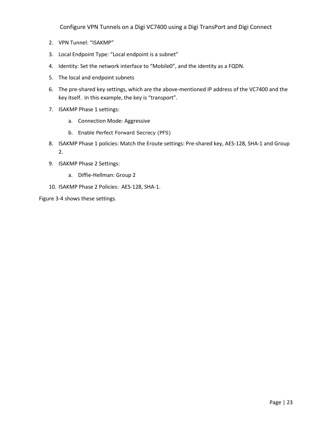- 2. VPN Tunnel: "ISAKMP"
- 3. Local Endpoint Type: "Local endpoint is a subnet"
- 4. Identity: Set the network interface to "Mobile0", and the identity as a FQDN.
- 5. The local and endpoint subnets
- 6. The pre-shared key settings, which are the above-mentioned IP address of the VC7400 and the key itself. In this example, the key is "transport".
- 7. ISAKMP Phase 1 settings:
	- a. Connection Mode: Aggressive
	- b. Enable Perfect Forward Secrecy (PFS)
- 8. ISAKMP Phase 1 policies: Match the Eroute settings: Pre-shared key, AES-128, SHA-1 and Group 2.
- 9. ISAKMP Phase 2 Settings:
	- a. Diffie-Hellman: Group 2
- 10. ISAKMP Phase 2 Policies: AES-128, SHA-1.

Figure 3-4 shows these settings.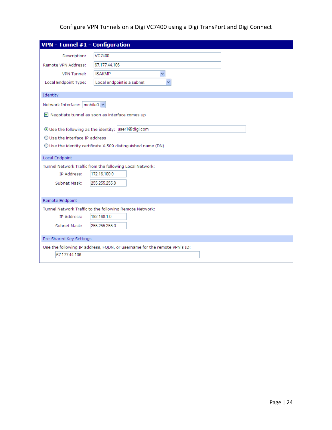| VPN - Tunnel #1 - Configuration         |                                                                          |
|-----------------------------------------|--------------------------------------------------------------------------|
|                                         |                                                                          |
| Description:                            | VC7400                                                                   |
| Remote VPN Address:                     | 67.177.44.106                                                            |
| VPN Tunnel:                             | <b>ISAKMP</b><br>v                                                       |
| Local Endpoint Type:                    | Local endpoint is a subnet                                               |
|                                         |                                                                          |
| Identity                                |                                                                          |
| Network Interface:   mobile0 \          |                                                                          |
|                                         | ■ Negotiate tunnel as soon as interface comes up                         |
|                                         |                                                                          |
|                                         | ⊙Use the following as the identity: user1@digi.com                       |
| $\bigcirc$ Use the interface IP address |                                                                          |
|                                         | $\bigcirc$ Use the identity certificate X.509 distinguished name (DN)    |
|                                         |                                                                          |
| <b>Local Endpoint</b>                   |                                                                          |
|                                         | Tunnel Network Traffic from the following Local Network:                 |
| IP Address:                             | 172.16.100.0                                                             |
| Subnet Mask:                            | 255.255.255.0                                                            |
|                                         |                                                                          |
| Remote Endpoint                         |                                                                          |
|                                         | Tunnel Network Traffic to the following Remote Network:                  |
| IP Address:                             | 192.168.1.0                                                              |
| Subnet Mask:                            | 255.255.255.0                                                            |
|                                         |                                                                          |
| Pre-Shared Key Settings                 |                                                                          |
|                                         | Use the following IP address, FQDN, or username for the remote VPN's ID: |
| 67.177.44.106                           |                                                                          |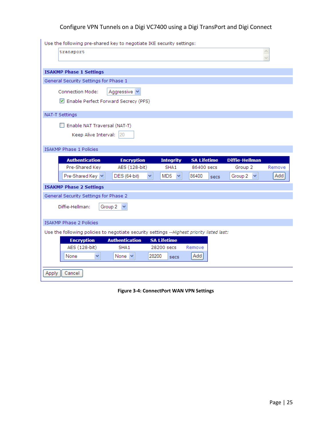| Use the following pre-shared key to negotiate IKE security settings:                      |                          |                    |                    |                       |        |
|-------------------------------------------------------------------------------------------|--------------------------|--------------------|--------------------|-----------------------|--------|
| transport                                                                                 |                          |                    |                    |                       |        |
|                                                                                           |                          |                    |                    |                       |        |
| <b>ISAKMP Phase 1 Settings</b>                                                            |                          |                    |                    |                       |        |
| General Security Settings for Phase 1                                                     |                          |                    |                    |                       |        |
| Connection Mode:                                                                          | Aggressive v             |                    |                    |                       |        |
| Enable Perfect Forward Secrecy (PFS)                                                      |                          |                    |                    |                       |        |
| NAT-T Settings                                                                            |                          |                    |                    |                       |        |
| Enable NAT Traversal (NAT-T)<br>Keep Alive Interval:                                      | 20                       |                    |                    |                       |        |
| <b>ISAKMP Phase 1 Policies</b>                                                            |                          |                    |                    |                       |        |
| <b>Authentication</b>                                                                     | <b>Encryption</b>        | <b>Integrity</b>   | <b>SA Lifetime</b> | <b>Diffie-Hellman</b> |        |
| Pre-Shared Key                                                                            | AES (128-bit)            | SHA <sub>1</sub>   | 86400 secs         | Group 2               | Remove |
| Pre-Shared Key                                                                            | <b>DES</b> (64-bit)<br>٧ | MD5<br>v           | 86400<br>secs      | Group 2               | Add    |
| <b>ISAKMP Phase 2 Settings</b>                                                            |                          |                    |                    |                       |        |
| General Security Settings for Phase 2                                                     |                          |                    |                    |                       |        |
| Diffie-Hellman:                                                                           | Group 2                  |                    |                    |                       |        |
| <b>ISAKMP Phase 2 Policies</b>                                                            |                          |                    |                    |                       |        |
| Use the following policies to negotiate security settings --Highest priority listed last: |                          |                    |                    |                       |        |
| <b>Encryption</b>                                                                         | <b>Authentication</b>    | <b>SA Lifetime</b> |                    |                       |        |
| AES (128-bit)                                                                             | SHA1                     | 28200 secs         | Remove             |                       |        |
| None<br>v                                                                                 | 28200<br>None Y          | secs               | Add                |                       |        |
| Cancel<br>Apply                                                                           |                          |                    |                    |                       |        |

<span id="page-24-0"></span>**Figure 3-4: ConnectPort WAN VPN Settings**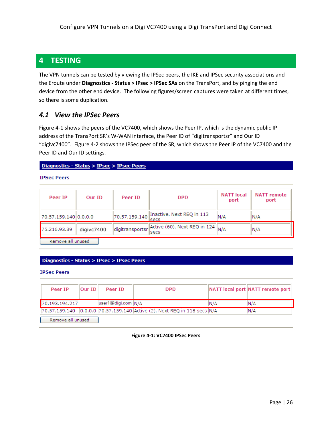## <span id="page-25-0"></span>**4 TESTING**

The VPN tunnels can be tested by viewing the IPSec peers, the IKE and IPSec security associations and the Eroute under **Diagnostics - Status > IPsec > IPSec SAs** on the TransPort, and by pinging the end device from the other end device. The following figures/screen captures were taken at different times, so there is some duplication.

## <span id="page-25-1"></span>*4.1 View the IPSec Peers*

Figure 4-1 shows the peers of the VC7400, which shows the Peer IP, which is the dynamic public IP address of the TransPort SR's W-WAN interface, the Peer ID of "digitransportsr" and Our ID "digivc7400". Figure 4-2 shows the IPSec peer of the SR, which shows the Peer IP of the VC7400 and the Peer ID and Our ID settings.

#### Diagnostics - Status > IPsec > IPsec Peers

**IPSec Peers** 

| Peer IP               | Our ID     | Peer ID         | <b>DPD</b>                                           | <b>NATT</b> local<br>port | <b>NATT</b> remote<br>port |
|-----------------------|------------|-----------------|------------------------------------------------------|---------------------------|----------------------------|
| 70.57.159.140 0.0.0.0 |            | 70.57.159.140   | Inactive. Next REQ in 113<br><b>Secs</b>             | N/A                       | N/A                        |
| 75.216.93.39          | digivc7400 | digitransportsr | Active (60). Next REQ in 124 $\parallel$ N/A<br>secs |                           | N/A                        |
| Remove all unused     |            |                 |                                                      |                           |                            |

#### Diagnostics - Status > IPsec > IPsec Peers

**IPSec Peers** 

<span id="page-25-2"></span>

| Peer IP           | Our ID | Peer ID            | <b>DPD</b>                                                 |      | NATT local port NATT remote port |
|-------------------|--------|--------------------|------------------------------------------------------------|------|----------------------------------|
| 170.193.194.217   |        | user1@digi.com N/A |                                                            | IN/A | IN/A                             |
| 70.57.159.140     |        |                    | 0.0.0.0 70.57.159.140 Active (2). Next REQ in 118 secs N/A |      | IN/A                             |
| Remove all unused |        |                    |                                                            |      |                                  |

**Figure 4-1: VC7400 IPSec Peers**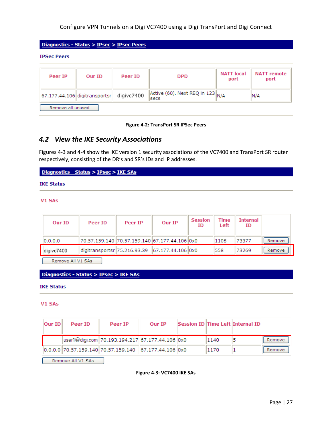Diagnostics - Status > IPsec > IPsec Peers

**IPSec Peers** 

| Peer IP           | Our ID                            | Peer ID    | <b>DPD</b>                                       | <b>NATT</b> local<br>port | <b>NATT</b> remote<br>port |  |
|-------------------|-----------------------------------|------------|--------------------------------------------------|---------------------------|----------------------------|--|
|                   | $ 67.177.44.106 $ digitransportsr | digivc7400 | $ $ Active (60). Next REQ in 123 $ $ N/A<br>secs |                           | IN/A                       |  |
| Remove all unused |                                   |            |                                                  |                           |                            |  |

#### **Figure 4-2: TransPort SR IPSec Peers**

## <span id="page-26-1"></span><span id="page-26-0"></span>*4.2 View the IKE Security Associations*

Figures 4-3 and 4-4 show the IKE version 1 security associations of the VC7400 and TransPort SR router respectively, consisting of the DR's and SR's IDs and IP addresses.

Diagnostics - Status > IPsec > IKE SAs

#### **IKE Status**

V1 SAs

| Our ID     | Peer ID                                          | Peer IP | Our IP | <b>Session</b><br>ID | Time<br>Left | <b>Internal</b><br>ID |        |
|------------|--------------------------------------------------|---------|--------|----------------------|--------------|-----------------------|--------|
| 0.0.0.0    | 70.57.159.140  70.57.159.140  67.177.44.106  0x0 |         |        |                      | 1108         | 73377                 | Remove |
| digivc7400 | digitransportsr 75.216.93.39 67.177.44.106 0x0   |         |        |                      | 558          | 73269                 | Remove |

Remove All V1 SAs

#### Diagnostics - Status > IPsec > IKE SAs

#### **IKE Status**

#### V1 SAs

| Our ID | Peer ID | Peer IP                                                                                   | Our IP |      | Session ID Time Left Internal ID |        |
|--------|---------|-------------------------------------------------------------------------------------------|--------|------|----------------------------------|--------|
|        |         | user1@digi.com 70.193.194.217 67.177.44.106 0x0                                           |        | 1140 |                                  | Remove |
|        |         | $\parallel$ 0.0.0.0 70.57.159.140 70.57.159.140 $\parallel$ 67.177.44.106 $\parallel$ 0x0 |        | 1170 |                                  | Remove |

<span id="page-26-2"></span>Remove All V1 SAs

**Figure 4-3: VC7400 IKE SAs**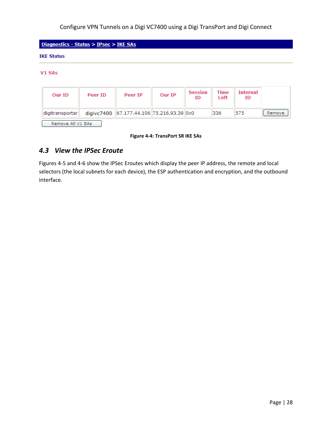#### **IKE Status**

#### V1 SAs

| Our ID            | Peer ID | Peer IP                                   | Our IP | <b>Session</b><br>ID | Time<br>Left | <b>Internal</b><br>ID |        |  |  |  |  |
|-------------------|---------|-------------------------------------------|--------|----------------------|--------------|-----------------------|--------|--|--|--|--|
| digitransportsr   |         | digivc7400 67.177.44.106 75.216.93.39 0x0 |        |                      | 336          | 575                   | Remove |  |  |  |  |
| Remove All V1 SAs |         |                                           |        |                      |              |                       |        |  |  |  |  |

**Figure 4-4: TransPort SR IKE SAs**

## <span id="page-27-1"></span><span id="page-27-0"></span>*4.3 View the IPSec Eroute*

Figures 4-5 and 4-6 show the IPSec Eroutes which display the peer IP address, the remote and local selectors (the local subnets for each device), the ESP authentication and encryption, and the outbound interface.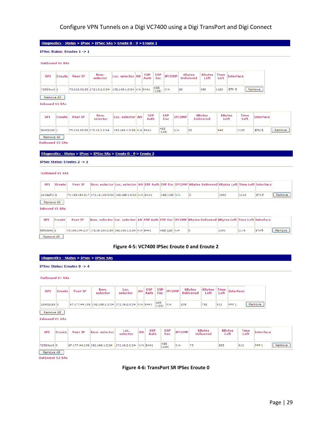#### Diagnostics - Status > IPsec > IPSec SAs > Eroute 0 - 9 > Eroute 1

IPSec Status: Eroutes 1 -> 1

#### Outbound V1 SAs

| <b>SPI</b> | Eroute | Peer IP | Rem.<br>selector | Loc. selector AH ESP ESP IPCOMP                                                                  |  |      | KBytes<br>  Delivered |     |      | $\mathbb{R}$   KBytes   Time   Interface |        |
|------------|--------|---------|------------------|--------------------------------------------------------------------------------------------------|--|------|-----------------------|-----|------|------------------------------------------|--------|
| 725b9ac3 1 |        |         |                  | $\frac{1}{2}$ 75.216.93.39 172.16.2.0/24 192.168.1.0/24 N/A SHA1 $\frac{1}{128}$ $\frac{1}{128}$ |  | IN/A | 20                    | 980 | 1120 | ETH <sub>5</sub>                         | Remove |

#### Remove All

**Inbound V1 SAs** 

| SPI        | Eroute | Peer IP | Rem.<br>selector           | Loc. selector AH        | <b>ESP</b><br>Auth | <b>ESP</b><br>Enc   | <b>IPCOMP</b> | <b>KBytes</b><br><b>Delivered</b> | <b>KBvtes</b><br>Left | <b>Time</b><br>Left | <b>Interface</b> |        |
|------------|--------|---------|----------------------------|-------------------------|--------------------|---------------------|---------------|-----------------------------------|-----------------------|---------------------|------------------|--------|
| 32402c26 1 |        |         | 75.216.93.39 172.16.2.0/24 | 192.168.1.0/24 N/A SHA1 |                    | <b>AES</b><br>(128) | N/A           | 152                               | 948                   | 1120                | ETH <sub>5</sub> | Remove |
| Remove All |        |         |                            |                         |                    |                     |               |                                   |                       |                     |                  |        |

**Outbound V2 SAs** 

#### <u> Diagnostics - Status > IPsec</u> > <u>IPSec SAs</u> > <u>Eroute 0 - 9</u> > <u>Eroute 2</u>

IPSec Status: Eroutes 2 -> 2

#### Outbound V1 SAs

| <b>SPI</b> | <b>Eroute</b> | Peer IP |                                                        |  |            | $\,$ Rem. selector $\,$ Loc. selector $\,$ AH $\,$ ESP Auth ESP Enc $\,$ IPCOMP $\,$ KBvtes Delivered $\,$ KBvtes Left Time Left Interface |      |      |                  |        |
|------------|---------------|---------|--------------------------------------------------------|--|------------|--------------------------------------------------------------------------------------------------------------------------------------------|------|------|------------------|--------|
| c316ef7d 2 |               |         | 70.193.194.217 172.16.100.0/24 192.168.1.0/24 N/A SHA1 |  | AES(128) N |                                                                                                                                            | 1000 | 1116 | ETH <sub>5</sub> | kemove |

#### Remove All

**Inbound V1 SAs** 

| <b>SPI</b> | Fronte | Peer IP |                                                            |  |          | $\,$ Rem. selector $\,$ Loc. selector $\,$ AH $\,$ IESP Auth $\,$ IESP Enc $\,$ IIPCOMP $\,$ IKB $\,$ vtes Delivered $\,$ IKB $\,$ vtes Left $\,$ ITime Left $\,$ IInterface |      |      |                  |        |
|------------|--------|---------|------------------------------------------------------------|--|----------|------------------------------------------------------------------------------------------------------------------------------------------------------------------------------|------|------|------------------|--------|
| b8f3d36e 2 |        |         | 70,193,194,217  172,16,100,0/24  192,168,1,0/24  N/A  SHA1 |  | AES(128) |                                                                                                                                                                              | 1000 | 1116 | FTH <sub>5</sub> | Remove |

<span id="page-28-0"></span>Remove All

#### **Figure 4-5: VC7400 IPSec Eroute 0 and Eroute 2**

#### Diagnostics - Status > IPsec > IPSec SAs

#### IPSec Status: Eroutes 0 -> 4

**Outbound V1 SAs** 

| <b>SPI</b> | Eroute | Peer IP | Rem.<br>selector                                    | Loc.<br>selector | <b>AH</b> | <b>ESP</b><br>Auth | <b>ESP</b><br><b>Enc</b> | <b>IPCOMP</b> | KBytes<br><b>Delivered</b> | $KBy$ tes Time<br>Left | Left | Interface     |        |
|------------|--------|---------|-----------------------------------------------------|------------------|-----------|--------------------|--------------------------|---------------|----------------------------|------------------------|------|---------------|--------|
| 32402c26 0 |        |         | 67.177.44.106 192.168.1.0/24 172.16.2.0/24 N/A SHA1 |                  |           |                    | AES<br>(128)             | IN/A          | 208                        | 792                    | 912  | <b>IPPP 1</b> | Remove |

Remove All

**Inbound V1 SAs** 

| <b>SPI</b> | Eroute                  | Peer IP | Rem. selector                                             | Loc.<br>selector | AH | <b>ESP</b><br>Auth | <b>ESP</b><br>Enc | <b>IPCOMP</b> | <b>KBytes</b><br><b>Delivered</b> | <b>KBytes</b><br>Left | <b>Time</b><br>Left |        |        |
|------------|-------------------------|---------|-----------------------------------------------------------|------------------|----|--------------------|-------------------|---------------|-----------------------------------|-----------------------|---------------------|--------|--------|
| 725b9ac3 0 |                         |         | 67.177.44.106  192.168.1.0/24   172.16.2.0/24   N/A  SHA1 |                  |    |                    | AES<br>(128)      |               |                                   | 925                   | 912                 | "IPPP" | Remove |
|            | <b>Construction</b> All |         |                                                           |                  |    |                    |                   |               |                                   |                       |                     |        |        |

<span id="page-28-1"></span>Remove All **Outbound V2 SAs** 

#### **Figure 4-6: TransPort SR IPSec Eroute 0**